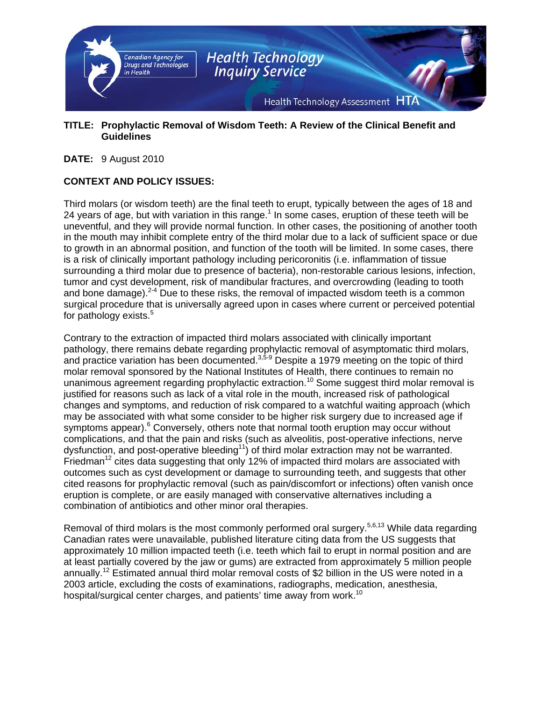

#### **TITLE: Prophylactic Removal of Wisdom Teeth: A Review of the Clinical Benefit and Guidelines**

**DATE:** 9 August 2010

## **CONTEXT AND POLICY ISSUES:**

Third molars (or wisdom teeth) are the final teeth to erupt, typically between the ages of 18 and 24 years of age, but with variation in this range.<sup>1</sup> In some cases, eruption of these teeth will be uneventful, and they will provide normal function. In other cases, the positioning of another tooth in the mouth may inhibit complete entry of the third molar due to a lack of sufficient space or due to growth in an abnormal position, and function of the tooth will be limited. In some cases, there is a risk of clinically important pathology including pericoronitis (i.e. inflammation of tissue surrounding a third molar due to presence of bacteria), non-restorable carious lesions, infection, tumor and cyst development, risk of mandibular fractures, and overcrowding (leading to tooth and bone damage).  $2-4$  Due to these risks, the removal of impacted wisdom teeth is a common surgical procedure that is universally agreed upon in cases where current or perceived potential for pathology exists.<sup>5</sup>

Contrary to the extraction of impacted third molars associated with clinically important pathology, there remains debate regarding prophylactic removal of asymptomatic third molars, and practice variation has been documented.<sup>3,5-9</sup> Despite a 1979 meeting on the topic of third molar removal sponsored by the National Institutes of Health, there continues to remain no unanimous agreement regarding prophylactic extraction.<sup>10</sup> Some suggest third molar removal is justified for reasons such as lack of a vital role in the mouth, increased risk of pathological changes and symptoms, and reduction of risk compared to a watchful waiting approach (which may be associated with what some consider to be higher risk surgery due to increased age if symptoms appear).<sup>6</sup> Conversely, others note that normal tooth eruption may occur without complications, and that the pain and risks (such as alveolitis, post-operative infections, nerve dysfunction, and post-operative bleeding<sup>11</sup>) of third molar extraction may not be warranted. Friedman<sup>12</sup> cites data suggesting that only 12% of impacted third molars are associated with outcomes such as cyst development or damage to surrounding teeth, and suggests that other cited reasons for prophylactic removal (such as pain/discomfort or infections) often vanish once eruption is complete, or are easily managed with conservative alternatives including a combination of antibiotics and other minor oral therapies.

Removal of third molars is the most commonly performed oral surgery.<sup>5,6,13</sup> While data regarding Canadian rates were unavailable, published literature citing data from the US suggests that approximately 10 million impacted teeth (i.e. teeth which fail to erupt in normal position and are at least partially covered by the jaw or gums) are extracted from approximately 5 million people annually.<sup>12</sup> Estimated annual third molar removal costs of \$2 billion in the US were noted in a 2003 article, excluding the costs of examinations, radiographs, medication, anesthesia, hospital/surgical center charges, and patients' time away from work.<sup>10</sup>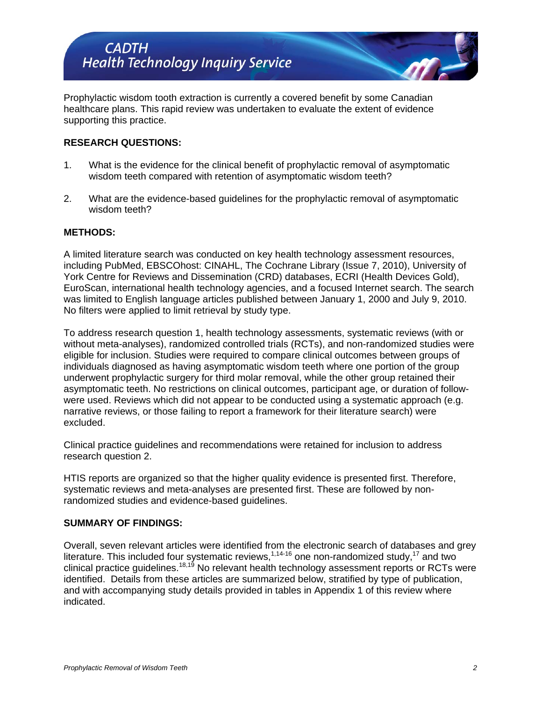Prophylactic wisdom tooth extraction is currently a covered benefit by some Canadian healthcare plans. This rapid review was undertaken to evaluate the extent of evidence supporting this practice.

## **RESEARCH QUESTIONS:**

- 1. What is the evidence for the clinical benefit of prophylactic removal of asymptomatic wisdom teeth compared with retention of asymptomatic wisdom teeth?
- 2. What are the evidence-based guidelines for the prophylactic removal of asymptomatic wisdom teeth?

#### **METHODS:**

A limited literature search was conducted on key health technology assessment resources, including PubMed, EBSCOhost: CINAHL, The Cochrane Library (Issue 7, 2010), University of York Centre for Reviews and Dissemination (CRD) databases, ECRI (Health Devices Gold), EuroScan, international health technology agencies, and a focused Internet search. The search was limited to English language articles published between January 1, 2000 and July 9, 2010. No filters were applied to limit retrieval by study type.

To address research question 1, health technology assessments, systematic reviews (with or without meta-analyses), randomized controlled trials (RCTs), and non-randomized studies were eligible for inclusion. Studies were required to compare clinical outcomes between groups of individuals diagnosed as having asymptomatic wisdom teeth where one portion of the group underwent prophylactic surgery for third molar removal, while the other group retained their asymptomatic teeth. No restrictions on clinical outcomes, participant age, or duration of followwere used. Reviews which did not appear to be conducted using a systematic approach (e.g. narrative reviews, or those failing to report a framework for their literature search) were excluded.

Clinical practice guidelines and recommendations were retained for inclusion to address research question 2.

HTIS reports are organized so that the higher quality evidence is presented first. Therefore, systematic reviews and meta-analyses are presented first. These are followed by nonrandomized studies and evidence-based guidelines.

#### **SUMMARY OF FINDINGS:**

Overall, seven relevant articles were identified from the electronic search of databases and grey literature. This included four systematic reviews,  $1,14-16$  one non-randomized study,  $17$  and two clinical practice guidelines.18,19 No relevant health technology assessment reports or RCTs were identified. Details from these articles are summarized below, stratified by type of publication, and with accompanying study details provided in tables in Appendix 1 of this review where indicated.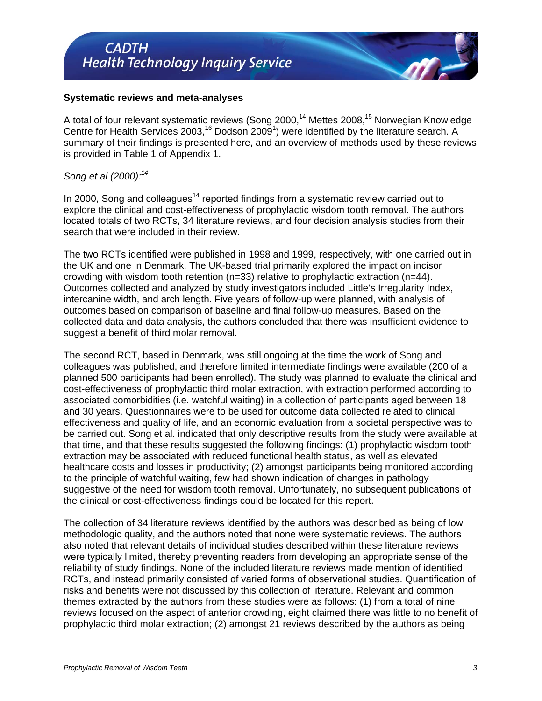## **Systematic reviews and meta-analyses**

A total of four relevant systematic reviews (Song 2000,<sup>14</sup> Mettes 2008,<sup>15</sup> Norwegian Knowledge Centre for Health Services 2003,<sup>16</sup> Dodson 2009<sup>1</sup>) were identified by the literature search. A summary of their findings is presented here, and an overview of methods used by these reviews is provided in Table 1 of Appendix 1.

#### *Song et al (2000):<sup>14</sup>*

In 2000, Song and colleagues<sup>14</sup> reported findings from a systematic review carried out to explore the clinical and cost-effectiveness of prophylactic wisdom tooth removal. The authors located totals of two RCTs, 34 literature reviews, and four decision analysis studies from their search that were included in their review.

The two RCTs identified were published in 1998 and 1999, respectively, with one carried out in the UK and one in Denmark. The UK-based trial primarily explored the impact on incisor crowding with wisdom tooth retention (n=33) relative to prophylactic extraction (n=44). Outcomes collected and analyzed by study investigators included Little's Irregularity Index, intercanine width, and arch length. Five years of follow-up were planned, with analysis of outcomes based on comparison of baseline and final follow-up measures. Based on the collected data and data analysis, the authors concluded that there was insufficient evidence to suggest a benefit of third molar removal.

The second RCT, based in Denmark, was still ongoing at the time the work of Song and colleagues was published, and therefore limited intermediate findings were available (200 of a planned 500 participants had been enrolled). The study was planned to evaluate the clinical and cost-effectiveness of prophylactic third molar extraction, with extraction performed according to associated comorbidities (i.e. watchful waiting) in a collection of participants aged between 18 and 30 years. Questionnaires were to be used for outcome data collected related to clinical effectiveness and quality of life, and an economic evaluation from a societal perspective was to be carried out. Song et al. indicated that only descriptive results from the study were available at that time, and that these results suggested the following findings: (1) prophylactic wisdom tooth extraction may be associated with reduced functional health status, as well as elevated healthcare costs and losses in productivity; (2) amongst participants being monitored according to the principle of watchful waiting, few had shown indication of changes in pathology suggestive of the need for wisdom tooth removal. Unfortunately, no subsequent publications of the clinical or cost-effectiveness findings could be located for this report.

The collection of 34 literature reviews identified by the authors was described as being of low methodologic quality, and the authors noted that none were systematic reviews. The authors also noted that relevant details of individual studies described within these literature reviews were typically limited, thereby preventing readers from developing an appropriate sense of the reliability of study findings. None of the included literature reviews made mention of identified RCTs, and instead primarily consisted of varied forms of observational studies. Quantification of risks and benefits were not discussed by this collection of literature. Relevant and common themes extracted by the authors from these studies were as follows: (1) from a total of nine reviews focused on the aspect of anterior crowding, eight claimed there was little to no benefit of prophylactic third molar extraction; (2) amongst 21 reviews described by the authors as being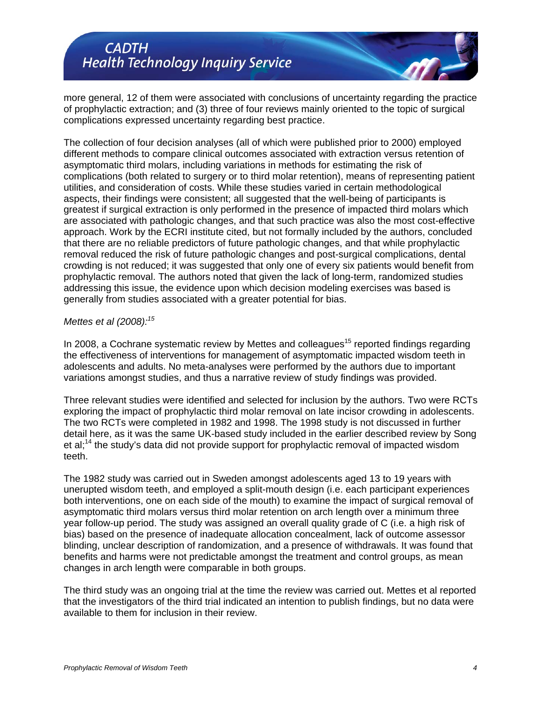more general, 12 of them were associated with conclusions of uncertainty regarding the practice of prophylactic extraction; and (3) three of four reviews mainly oriented to the topic of surgical complications expressed uncertainty regarding best practice.

The collection of four decision analyses (all of which were published prior to 2000) employed different methods to compare clinical outcomes associated with extraction versus retention of asymptomatic third molars, including variations in methods for estimating the risk of complications (both related to surgery or to third molar retention), means of representing patient utilities, and consideration of costs. While these studies varied in certain methodological aspects, their findings were consistent; all suggested that the well-being of participants is greatest if surgical extraction is only performed in the presence of impacted third molars which are associated with pathologic changes, and that such practice was also the most cost-effective approach. Work by the ECRI institute cited, but not formally included by the authors, concluded that there are no reliable predictors of future pathologic changes, and that while prophylactic removal reduced the risk of future pathologic changes and post-surgical complications, dental crowding is not reduced; it was suggested that only one of every six patients would benefit from prophylactic removal. The authors noted that given the lack of long-term, randomized studies addressing this issue, the evidence upon which decision modeling exercises was based is generally from studies associated with a greater potential for bias.

#### *Mettes et al (2008):<sup>15</sup>*

In 2008, a Cochrane systematic review by Mettes and colleagues<sup>15</sup> reported findings regarding the effectiveness of interventions for management of asymptomatic impacted wisdom teeth in adolescents and adults. No meta-analyses were performed by the authors due to important variations amongst studies, and thus a narrative review of study findings was provided.

Three relevant studies were identified and selected for inclusion by the authors. Two were RCTs exploring the impact of prophylactic third molar removal on late incisor crowding in adolescents. The two RCTs were completed in 1982 and 1998. The 1998 study is not discussed in further detail here, as it was the same UK-based study included in the earlier described review by Song et al;<sup>14</sup> the study's data did not provide support for prophylactic removal of impacted wisdom teeth.

The 1982 study was carried out in Sweden amongst adolescents aged 13 to 19 years with unerupted wisdom teeth, and employed a split-mouth design (i.e. each participant experiences both interventions, one on each side of the mouth) to examine the impact of surgical removal of asymptomatic third molars versus third molar retention on arch length over a minimum three year follow-up period. The study was assigned an overall quality grade of C (i.e. a high risk of bias) based on the presence of inadequate allocation concealment, lack of outcome assessor blinding, unclear description of randomization, and a presence of withdrawals. It was found that benefits and harms were not predictable amongst the treatment and control groups, as mean changes in arch length were comparable in both groups.

The third study was an ongoing trial at the time the review was carried out. Mettes et al reported that the investigators of the third trial indicated an intention to publish findings, but no data were available to them for inclusion in their review.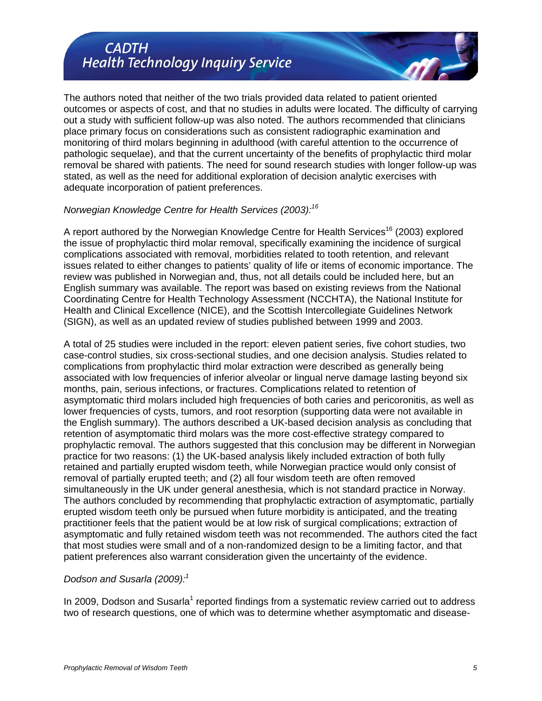The authors noted that neither of the two trials provided data related to patient oriented outcomes or aspects of cost, and that no studies in adults were located. The difficulty of carrying out a study with sufficient follow-up was also noted. The authors recommended that clinicians place primary focus on considerations such as consistent radiographic examination and monitoring of third molars beginning in adulthood (with careful attention to the occurrence of pathologic sequelae), and that the current uncertainty of the benefits of prophylactic third molar removal be shared with patients. The need for sound research studies with longer follow-up was stated, as well as the need for additional exploration of decision analytic exercises with adequate incorporation of patient preferences.

#### *Norwegian Knowledge Centre for Health Services (2003):<sup>16</sup>*

A report authored by the Norwegian Knowledge Centre for Health Services<sup>16</sup> (2003) explored the issue of prophylactic third molar removal, specifically examining the incidence of surgical complications associated with removal, morbidities related to tooth retention, and relevant issues related to either changes to patients' quality of life or items of economic importance. The review was published in Norwegian and, thus, not all details could be included here, but an English summary was available. The report was based on existing reviews from the National Coordinating Centre for Health Technology Assessment (NCCHTA), the National Institute for Health and Clinical Excellence (NICE), and the Scottish Intercollegiate Guidelines Network (SIGN), as well as an updated review of studies published between 1999 and 2003.

A total of 25 studies were included in the report: eleven patient series, five cohort studies, two case-control studies, six cross-sectional studies, and one decision analysis. Studies related to complications from prophylactic third molar extraction were described as generally being associated with low frequencies of inferior alveolar or lingual nerve damage lasting beyond six months, pain, serious infections, or fractures. Complications related to retention of asymptomatic third molars included high frequencies of both caries and pericoronitis, as well as lower frequencies of cysts, tumors, and root resorption (supporting data were not available in the English summary). The authors described a UK-based decision analysis as concluding that retention of asymptomatic third molars was the more cost-effective strategy compared to prophylactic removal. The authors suggested that this conclusion may be different in Norwegian practice for two reasons: (1) the UK-based analysis likely included extraction of both fully retained and partially erupted wisdom teeth, while Norwegian practice would only consist of removal of partially erupted teeth; and (2) all four wisdom teeth are often removed simultaneously in the UK under general anesthesia, which is not standard practice in Norway. The authors concluded by recommending that prophylactic extraction of asymptomatic, partially erupted wisdom teeth only be pursued when future morbidity is anticipated, and the treating practitioner feels that the patient would be at low risk of surgical complications; extraction of asymptomatic and fully retained wisdom teeth was not recommended. The authors cited the fact that most studies were small and of a non-randomized design to be a limiting factor, and that patient preferences also warrant consideration given the uncertainty of the evidence.

## *Dodson and Susarla (2009):<sup>1</sup>*

In 2009, Dodson and Susarla<sup>1</sup> reported findings from a systematic review carried out to address two of research questions, one of which was to determine whether asymptomatic and disease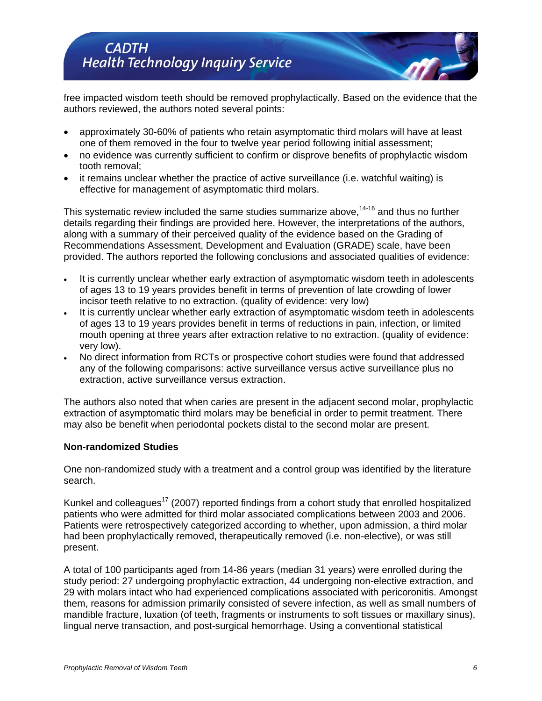free impacted wisdom teeth should be removed prophylactically. Based on the evidence that the authors reviewed, the authors noted several points:

- approximately 30-60% of patients who retain asymptomatic third molars will have at least one of them removed in the four to twelve year period following initial assessment;
- no evidence was currently sufficient to confirm or disprove benefits of prophylactic wisdom tooth removal;
- it remains unclear whether the practice of active surveillance (i.e. watchful waiting) is effective for management of asymptomatic third molars.

This systematic review included the same studies summarize above, $14-16$  and thus no further details regarding their findings are provided here. However, the interpretations of the authors, along with a summary of their perceived quality of the evidence based on the Grading of Recommendations Assessment, Development and Evaluation (GRADE) scale, have been provided. The authors reported the following conclusions and associated qualities of evidence:

- It is currently unclear whether early extraction of asymptomatic wisdom teeth in adolescents of ages 13 to 19 years provides benefit in terms of prevention of late crowding of lower incisor teeth relative to no extraction. (quality of evidence: very low)
- It is currently unclear whether early extraction of asymptomatic wisdom teeth in adolescents of ages 13 to 19 years provides benefit in terms of reductions in pain, infection, or limited mouth opening at three years after extraction relative to no extraction. (quality of evidence: very low).
- No direct information from RCTs or prospective cohort studies were found that addressed any of the following comparisons: active surveillance versus active surveillance plus no extraction, active surveillance versus extraction.

The authors also noted that when caries are present in the adjacent second molar, prophylactic extraction of asymptomatic third molars may be beneficial in order to permit treatment. There may also be benefit when periodontal pockets distal to the second molar are present.

## **Non-randomized Studies**

One non-randomized study with a treatment and a control group was identified by the literature search.

Kunkel and colleagues<sup>17</sup> (2007) reported findings from a cohort study that enrolled hospitalized patients who were admitted for third molar associated complications between 2003 and 2006. Patients were retrospectively categorized according to whether, upon admission, a third molar had been prophylactically removed, therapeutically removed (i.e. non-elective), or was still present.

A total of 100 participants aged from 14-86 years (median 31 years) were enrolled during the study period: 27 undergoing prophylactic extraction, 44 undergoing non-elective extraction, and 29 with molars intact who had experienced complications associated with pericoronitis. Amongst them, reasons for admission primarily consisted of severe infection, as well as small numbers of mandible fracture, luxation (of teeth, fragments or instruments to soft tissues or maxillary sinus), lingual nerve transaction, and post-surgical hemorrhage. Using a conventional statistical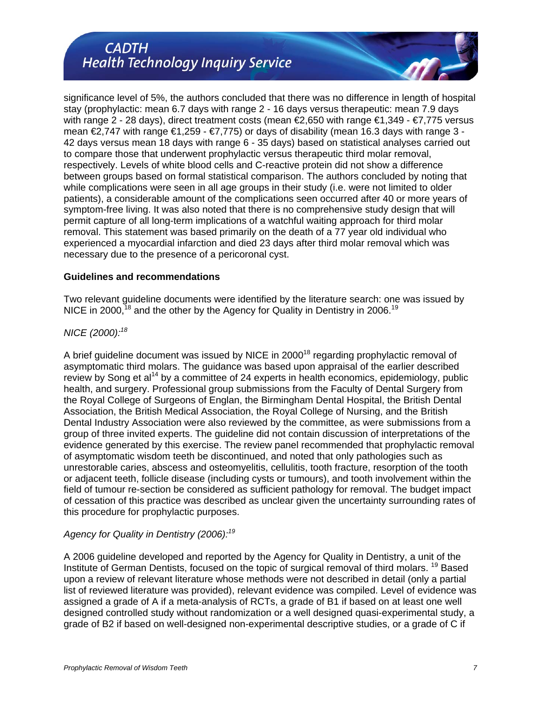significance level of 5%, the authors concluded that there was no difference in length of hospital stay (prophylactic: mean 6.7 days with range 2 - 16 days versus therapeutic: mean 7.9 days with range 2 - 28 days), direct treatment costs (mean €2,650 with range €1,349 - €7,775 versus mean  $€2,747$  with range  $€1,259 - €7,775)$  or days of disability (mean 16.3 days with range 3 -42 days versus mean 18 days with range 6 - 35 days) based on statistical analyses carried out to compare those that underwent prophylactic versus therapeutic third molar removal, respectively. Levels of white blood cells and C-reactive protein did not show a difference between groups based on formal statistical comparison. The authors concluded by noting that while complications were seen in all age groups in their study (i.e. were not limited to older patients), a considerable amount of the complications seen occurred after 40 or more years of symptom-free living. It was also noted that there is no comprehensive study design that will permit capture of all long-term implications of a watchful waiting approach for third molar removal. This statement was based primarily on the death of a 77 year old individual who experienced a myocardial infarction and died 23 days after third molar removal which was necessary due to the presence of a pericoronal cyst.

#### **Guidelines and recommendations**

Two relevant guideline documents were identified by the literature search: one was issued by NICE in 2000, $^{18}$  and the other by the Agency for Quality in Dentistry in 2006.<sup>19</sup>

## *NICE (2000):<sup>18</sup>*

A brief guideline document was issued by NICE in  $2000^{18}$  regarding prophylactic removal of asymptomatic third molars. The guidance was based upon appraisal of the earlier described review by Song et  $al<sup>14</sup>$  by a committee of 24 experts in health economics, epidemiology, public health, and surgery. Professional group submissions from the Faculty of Dental Surgery from the Royal College of Surgeons of Englan, the Birmingham Dental Hospital, the British Dental Association, the British Medical Association, the Royal College of Nursing, and the British Dental Industry Association were also reviewed by the committee, as were submissions from a group of three invited experts. The guideline did not contain discussion of interpretations of the evidence generated by this exercise. The review panel recommended that prophylactic removal of asymptomatic wisdom teeth be discontinued, and noted that only pathologies such as unrestorable caries, abscess and osteomyelitis, cellulitis, tooth fracture, resorption of the tooth or adjacent teeth, follicle disease (including cysts or tumours), and tooth involvement within the field of tumour re-section be considered as sufficient pathology for removal. The budget impact of cessation of this practice was described as unclear given the uncertainty surrounding rates of this procedure for prophylactic purposes.

## *Agency for Quality in Dentistry (2006):19*

A 2006 guideline developed and reported by the Agency for Quality in Dentistry, a unit of the Institute of German Dentists, focused on the topic of surgical removal of third molars.<sup>19</sup> Based upon a review of relevant literature whose methods were not described in detail (only a partial list of reviewed literature was provided), relevant evidence was compiled. Level of evidence was assigned a grade of A if a meta-analysis of RCTs, a grade of B1 if based on at least one well designed controlled study without randomization or a well designed quasi-experimental study, a grade of B2 if based on well-designed non-experimental descriptive studies, or a grade of C if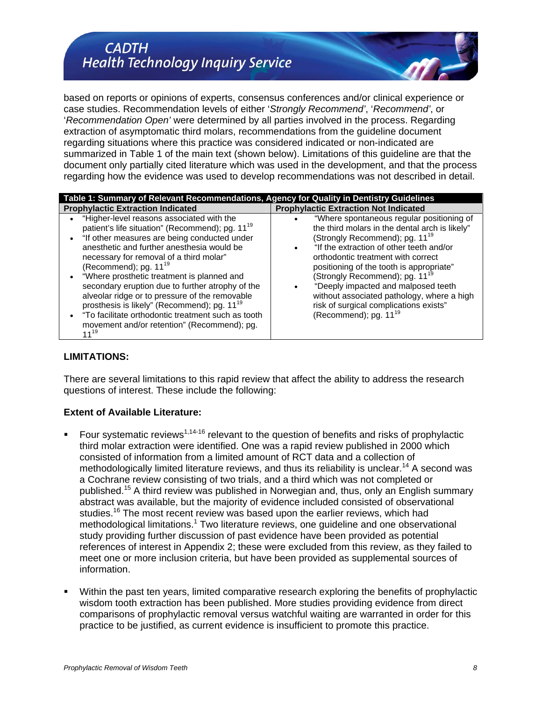based on reports or opinions of experts, consensus conferences and/or clinical experience or case studies. Recommendation levels of either '*Strongly Recommend'*, '*Recommend'*, or '*Recommendation Open'* were determined by all parties involved in the process. Regarding extraction of asymptomatic third molars, recommendations from the guideline document regarding situations where this practice was considered indicated or non-indicated are summarized in Table 1 of the main text (shown below). Limitations of this guideline are that the document only partially cited literature which was used in the development, and that the process regarding how the evidence was used to develop recommendations was not described in detail.

| Table 1: Summary of Relevant Recommendations, Agency for Quality in Dentistry Guidelines                                                                                                                                                                                                                                                                                                                                                                                                                                                                                                                             |                                                                                                                                                                                                                                                                                                                                                                                                                                                                                    |  |  |
|----------------------------------------------------------------------------------------------------------------------------------------------------------------------------------------------------------------------------------------------------------------------------------------------------------------------------------------------------------------------------------------------------------------------------------------------------------------------------------------------------------------------------------------------------------------------------------------------------------------------|------------------------------------------------------------------------------------------------------------------------------------------------------------------------------------------------------------------------------------------------------------------------------------------------------------------------------------------------------------------------------------------------------------------------------------------------------------------------------------|--|--|
| <b>Prophylactic Extraction Indicated</b>                                                                                                                                                                                                                                                                                                                                                                                                                                                                                                                                                                             | <b>Prophylactic Extraction Not Indicated</b>                                                                                                                                                                                                                                                                                                                                                                                                                                       |  |  |
| "Higher-level reasons associated with the<br>patient's life situation" (Recommend); pg. 11 <sup>19</sup><br>• "If other measures are being conducted under<br>anesthetic and further anesthesia would be<br>necessary for removal of a third molar"<br>(Recommend); pg. $11^{19}$<br>"Where prosthetic treatment is planned and<br>secondary eruption due to further atrophy of the<br>alveolar ridge or to pressure of the removable<br>prosthesis is likely" (Recommend); pg. 11 <sup>19</sup><br>• "To facilitate orthodontic treatment such as tooth<br>movement and/or retention" (Recommend); pg.<br>$11^{19}$ | "Where spontaneous regular positioning of<br>the third molars in the dental arch is likely"<br>(Strongly Recommend); pg. 11 <sup>19</sup><br>"If the extraction of other teeth and/or<br>orthodontic treatment with correct<br>positioning of the tooth is appropriate"<br>(Strongly Recommend); pg. 11 <sup>19</sup><br>"Deeply impacted and malposed teeth<br>without associated pathology, where a high<br>risk of surgical complications exists"<br>(Recommend); pg. $11^{19}$ |  |  |

#### **LIMITATIONS:**

There are several limitations to this rapid review that affect the ability to address the research questions of interest. These include the following:

## **Extent of Available Literature:**

- Four systematic reviews<sup>1,14-16</sup> relevant to the question of benefits and risks of prophylactic third molar extraction were identified. One was a rapid review published in 2000 which consisted of information from a limited amount of RCT data and a collection of methodologically limited literature reviews, and thus its reliability is unclear.<sup>14</sup> A second was a Cochrane review consisting of two trials, and a third which was not completed or published.<sup>15</sup> A third review was published in Norwegian and, thus, only an English summary abstract was available, but the majority of evidence included consisted of observational studies.<sup>16</sup> The most recent review was based upon the earlier reviews, which had methodological limitations.<sup>1</sup> Two literature reviews, one guideline and one observational study providing further discussion of past evidence have been provided as potential references of interest in Appendix 2; these were excluded from this review, as they failed to meet one or more inclusion criteria, but have been provided as supplemental sources of information.
- Within the past ten years, limited comparative research exploring the benefits of prophylactic wisdom tooth extraction has been published. More studies providing evidence from direct comparisons of prophylactic removal versus watchful waiting are warranted in order for this practice to be justified, as current evidence is insufficient to promote this practice.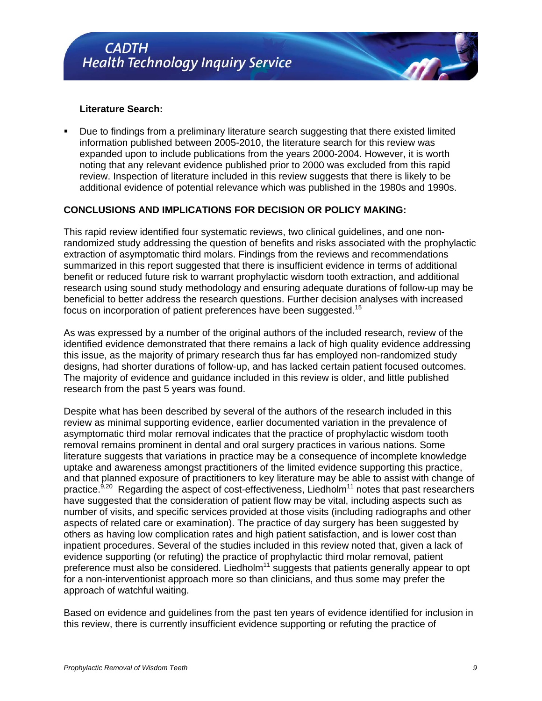#### **Literature Search:**

 Due to findings from a preliminary literature search suggesting that there existed limited information published between 2005-2010, the literature search for this review was expanded upon to include publications from the years 2000-2004. However, it is worth noting that any relevant evidence published prior to 2000 was excluded from this rapid review. Inspection of literature included in this review suggests that there is likely to be additional evidence of potential relevance which was published in the 1980s and 1990s.

### **CONCLUSIONS AND IMPLICATIONS FOR DECISION OR POLICY MAKING:**

This rapid review identified four systematic reviews, two clinical guidelines, and one nonrandomized study addressing the question of benefits and risks associated with the prophylactic extraction of asymptomatic third molars. Findings from the reviews and recommendations summarized in this report suggested that there is insufficient evidence in terms of additional benefit or reduced future risk to warrant prophylactic wisdom tooth extraction, and additional research using sound study methodology and ensuring adequate durations of follow-up may be beneficial to better address the research questions. Further decision analyses with increased focus on incorporation of patient preferences have been suggested.<sup>15</sup>

As was expressed by a number of the original authors of the included research, review of the identified evidence demonstrated that there remains a lack of high quality evidence addressing this issue, as the majority of primary research thus far has employed non-randomized study designs, had shorter durations of follow-up, and has lacked certain patient focused outcomes. The majority of evidence and guidance included in this review is older, and little published research from the past 5 years was found.

Despite what has been described by several of the authors of the research included in this review as minimal supporting evidence, earlier documented variation in the prevalence of asymptomatic third molar removal indicates that the practice of prophylactic wisdom tooth removal remains prominent in dental and oral surgery practices in various nations. Some literature suggests that variations in practice may be a consequence of incomplete knowledge uptake and awareness amongst practitioners of the limited evidence supporting this practice, and that planned exposure of practitioners to key literature may be able to assist with change of practice. $9,20$  Regarding the aspect of cost-effectiveness, Liedholm<sup>11</sup> notes that past researchers have suggested that the consideration of patient flow may be vital, including aspects such as number of visits, and specific services provided at those visits (including radiographs and other aspects of related care or examination). The practice of day surgery has been suggested by others as having low complication rates and high patient satisfaction, and is lower cost than inpatient procedures. Several of the studies included in this review noted that, given a lack of evidence supporting (or refuting) the practice of prophylactic third molar removal, patient preference must also be considered. Liedholm<sup>11</sup> suggests that patients generally appear to opt for a non-interventionist approach more so than clinicians, and thus some may prefer the approach of watchful waiting.

Based on evidence and guidelines from the past ten years of evidence identified for inclusion in this review, there is currently insufficient evidence supporting or refuting the practice of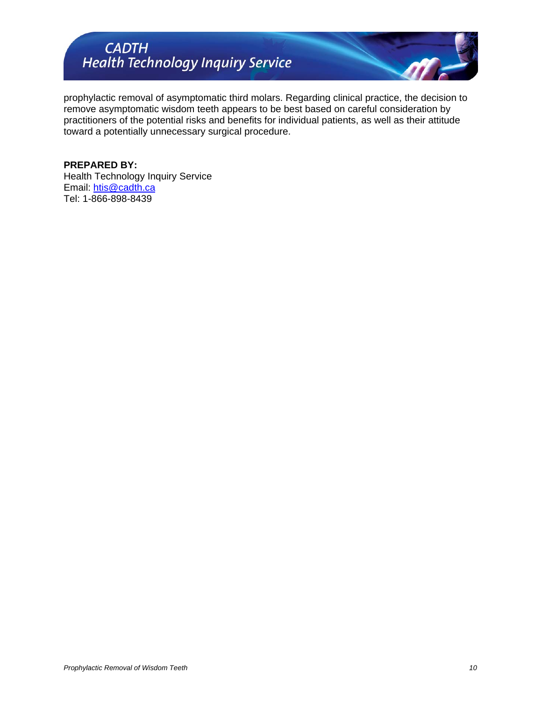

prophylactic removal of asymptomatic third molars. Regarding clinical practice, the decision to remove asymptomatic wisdom teeth appears to be best based on careful consideration by practitioners of the potential risks and benefits for individual patients, as well as their attitude toward a potentially unnecessary surgical procedure.

#### **PREPARED BY:**

Health Technology Inquiry Service Email: [htis@cadth.ca](mailto:htis@cadth.ca) Tel: 1-866-898-8439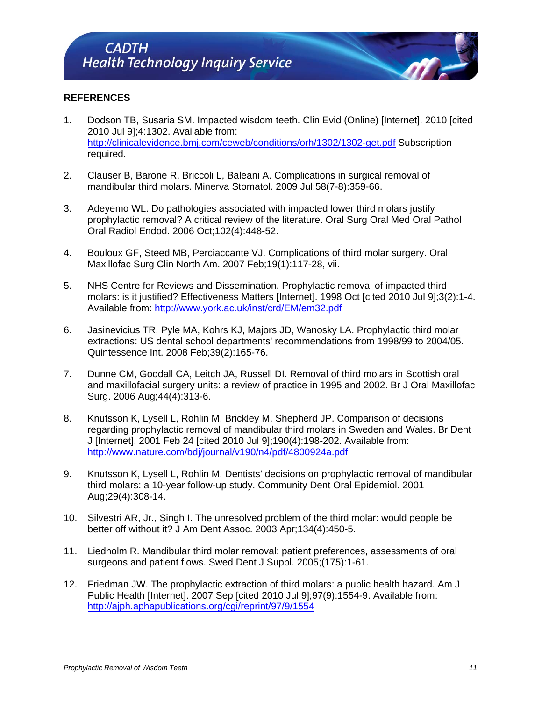## **REFERENCES**

- 1. Dodson TB, Susaria SM. Impacted wisdom teeth. Clin Evid (Online) [Internet]. 2010 [cited 2010 Jul 9];4:1302. Available from: <http://clinicalevidence.bmj.com/ceweb/conditions/orh/1302/1302-get.pdf> Subscription required.
- 2. Clauser B, Barone R, Briccoli L, Baleani A. Complications in surgical removal of mandibular third molars. Minerva Stomatol. 2009 Jul;58(7-8):359-66.
- 3. Adeyemo WL. Do pathologies associated with impacted lower third molars justify prophylactic removal? A critical review of the literature. Oral Surg Oral Med Oral Pathol Oral Radiol Endod. 2006 Oct;102(4):448-52.
- 4. Bouloux GF, Steed MB, Perciaccante VJ. Complications of third molar surgery. Oral Maxillofac Surg Clin North Am. 2007 Feb;19(1):117-28, vii.
- 5. NHS Centre for Reviews and Dissemination. Prophylactic removal of impacted third molars: is it justified? Effectiveness Matters [Internet]. 1998 Oct [cited 2010 Jul 9];3(2):1-4. Available from: <http://www.york.ac.uk/inst/crd/EM/em32.pdf>
- 6. Jasinevicius TR, Pyle MA, Kohrs KJ, Majors JD, Wanosky LA. Prophylactic third molar extractions: US dental school departments' recommendations from 1998/99 to 2004/05. Quintessence Int. 2008 Feb;39(2):165-76.
- 7. Dunne CM, Goodall CA, Leitch JA, Russell DI. Removal of third molars in Scottish oral and maxillofacial surgery units: a review of practice in 1995 and 2002. Br J Oral Maxillofac Surg. 2006 Aug;44(4):313-6.
- 8. Knutsson K, Lysell L, Rohlin M, Brickley M, Shepherd JP. Comparison of decisions regarding prophylactic removal of mandibular third molars in Sweden and Wales. Br Dent J [Internet]. 2001 Feb 24 [cited 2010 Jul 9];190(4):198-202. Available from: <http://www.nature.com/bdj/journal/v190/n4/pdf/4800924a.pdf>
- 9. Knutsson K, Lysell L, Rohlin M. Dentists' decisions on prophylactic removal of mandibular third molars: a 10-year follow-up study. Community Dent Oral Epidemiol. 2001 Aug;29(4):308-14.
- 10. Silvestri AR, Jr., Singh I. The unresolved problem of the third molar: would people be better off without it? J Am Dent Assoc. 2003 Apr;134(4):450-5.
- 11. Liedholm R. Mandibular third molar removal: patient preferences, assessments of oral surgeons and patient flows. Swed Dent J Suppl. 2005;(175):1-61.
- 12. Friedman JW. The prophylactic extraction of third molars: a public health hazard. Am J Public Health [Internet]. 2007 Sep [cited 2010 Jul 9];97(9):1554-9. Available from: <http://ajph.aphapublications.org/cgi/reprint/97/9/1554>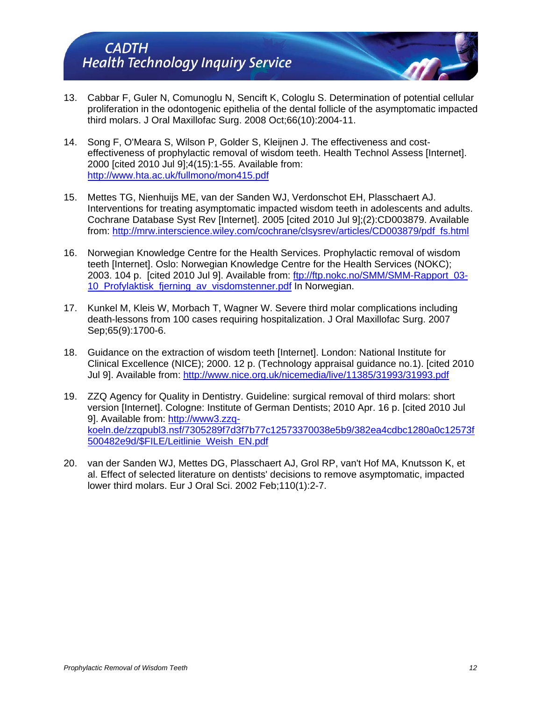- 13. Cabbar F, Guler N, Comunoglu N, Sencift K, Cologlu S. Determination of potential cellular proliferation in the odontogenic epithelia of the dental follicle of the asymptomatic impacted third molars. J Oral Maxillofac Surg. 2008 Oct;66(10):2004-11.
- 14. Song F, O'Meara S, Wilson P, Golder S, Kleijnen J. The effectiveness and costeffectiveness of prophylactic removal of wisdom teeth. Health Technol Assess [Internet]. 2000 [cited 2010 Jul 9];4(15):1-55. Available from: <http://www.hta.ac.uk/fullmono/mon415.pdf>
- 15. Mettes TG, Nienhuijs ME, van der Sanden WJ, Verdonschot EH, Plasschaert AJ. Interventions for treating asymptomatic impacted wisdom teeth in adolescents and adults. Cochrane Database Syst Rev [Internet]. 2005 [cited 2010 Jul 9];(2):CD003879. Available from: [http://mrw.interscience.wiley.com/cochrane/clsysrev/articles/CD003879/pdf\\_fs.html](http://mrw.interscience.wiley.com/cochrane/clsysrev/articles/CD003879/pdf_fs.html)
- 16. Norwegian Knowledge Centre for the Health Services. Prophylactic removal of wisdom teeth [Internet]. Oslo: Norwegian Knowledge Centre for the Health Services (NOKC); 2003. 104 p. [cited 2010 Jul 9]. Available from: [ftp://ftp.nokc.no/SMM/SMM-Rapport\\_03-](ftp://ftp.nokc.no/SMM/SMM-Rapport_03-10_Profylaktisk_fjerning_av_visdomstenner.pdf) [10\\_Profylaktisk\\_fjerning\\_av\\_visdomstenner.pdf](ftp://ftp.nokc.no/SMM/SMM-Rapport_03-10_Profylaktisk_fjerning_av_visdomstenner.pdf) In Norwegian.
- 17. Kunkel M, Kleis W, Morbach T, Wagner W. Severe third molar complications including death-lessons from 100 cases requiring hospitalization. J Oral Maxillofac Surg. 2007 Sep;65(9):1700-6.
- 18. Guidance on the extraction of wisdom teeth [Internet]. London: National Institute for Clinical Excellence (NICE); 2000. 12 p. (Technology appraisal guidance no.1). [cited 2010 Jul 9]. Available from:<http://www.nice.org.uk/nicemedia/live/11385/31993/31993.pdf>
- 19. ZZQ Agency for Quality in Dentistry. Guideline: surgical removal of third molars: short version [Internet]. Cologne: Institute of German Dentists; 2010 Apr. 16 p. [cited 2010 Jul 9]. Available from: [http://www3.zzq](http://www3.zzq-koeln.de/zzqpubl3.nsf/7305289f7d3f7b77c12573370038e5b9/382ea4cdbc1280a0c12573f500482e9d/$FILE/Leitlinie_Weish_EN.pdf)[koeln.de/zzqpubl3.nsf/7305289f7d3f7b77c12573370038e5b9/382ea4cdbc1280a0c12573f](http://www3.zzq-koeln.de/zzqpubl3.nsf/7305289f7d3f7b77c12573370038e5b9/382ea4cdbc1280a0c12573f500482e9d/$FILE/Leitlinie_Weish_EN.pdf) [500482e9d/\\$FILE/Leitlinie\\_Weish\\_EN.pdf](http://www3.zzq-koeln.de/zzqpubl3.nsf/7305289f7d3f7b77c12573370038e5b9/382ea4cdbc1280a0c12573f500482e9d/$FILE/Leitlinie_Weish_EN.pdf)
- 20. van der Sanden WJ, Mettes DG, Plasschaert AJ, Grol RP, van't Hof MA, Knutsson K, et al. Effect of selected literature on dentists' decisions to remove asymptomatic, impacted lower third molars. Eur J Oral Sci. 2002 Feb;110(1):2-7.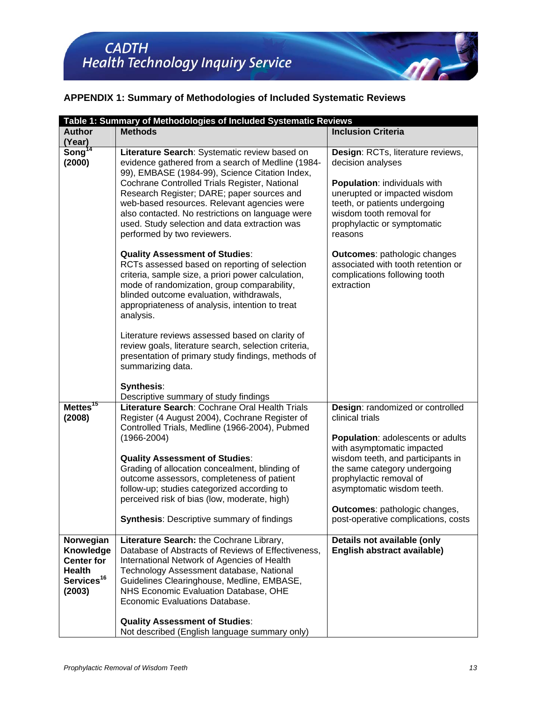## **APPENDIX 1: Summary of Methodologies of Included Systematic Reviews**

|                                                                                                  | Table 1: Summary of Methodologies of Included Systematic Reviews                                                                                                                                                                                                                                                                                                                                                                       |                                                                                                                                                                                                                                      |  |
|--------------------------------------------------------------------------------------------------|----------------------------------------------------------------------------------------------------------------------------------------------------------------------------------------------------------------------------------------------------------------------------------------------------------------------------------------------------------------------------------------------------------------------------------------|--------------------------------------------------------------------------------------------------------------------------------------------------------------------------------------------------------------------------------------|--|
| <b>Author</b>                                                                                    | <b>Methods</b>                                                                                                                                                                                                                                                                                                                                                                                                                         | <b>Inclusion Criteria</b>                                                                                                                                                                                                            |  |
| (Year)                                                                                           |                                                                                                                                                                                                                                                                                                                                                                                                                                        |                                                                                                                                                                                                                                      |  |
| Song $\overline{14}$<br>(2000)                                                                   | Literature Search: Systematic review based on<br>evidence gathered from a search of Medline (1984-<br>99), EMBASE (1984-99), Science Citation Index,<br>Cochrane Controlled Trials Register, National<br>Research Register; DARE; paper sources and<br>web-based resources. Relevant agencies were<br>also contacted. No restrictions on language were<br>used. Study selection and data extraction was<br>performed by two reviewers. | Design: RCTs, literature reviews,<br>decision analyses<br><b>Population: individuals with</b><br>unerupted or impacted wisdom<br>teeth, or patients undergoing<br>wisdom tooth removal for<br>prophylactic or symptomatic<br>reasons |  |
|                                                                                                  | <b>Quality Assessment of Studies:</b><br>RCTs assessed based on reporting of selection<br>criteria, sample size, a priori power calculation,<br>mode of randomization, group comparability,<br>blinded outcome evaluation, withdrawals,<br>appropriateness of analysis, intention to treat<br>analysis.                                                                                                                                | <b>Outcomes: pathologic changes</b><br>associated with tooth retention or<br>complications following tooth<br>extraction                                                                                                             |  |
|                                                                                                  | Literature reviews assessed based on clarity of<br>review goals, literature search, selection criteria,<br>presentation of primary study findings, methods of<br>summarizing data.                                                                                                                                                                                                                                                     |                                                                                                                                                                                                                                      |  |
|                                                                                                  | <b>Synthesis:</b>                                                                                                                                                                                                                                                                                                                                                                                                                      |                                                                                                                                                                                                                                      |  |
| Mettes <sup>15</sup><br>(2008)                                                                   | Descriptive summary of study findings<br>Literature Search: Cochrane Oral Health Trials<br>Register (4 August 2004), Cochrane Register of<br>Controlled Trials, Medline (1966-2004), Pubmed<br>$(1966 - 2004)$                                                                                                                                                                                                                         | Design: randomized or controlled<br>clinical trials<br>Population: adolescents or adults<br>with asymptomatic impacted                                                                                                               |  |
|                                                                                                  | <b>Quality Assessment of Studies:</b><br>Grading of allocation concealment, blinding of<br>outcome assessors, completeness of patient<br>follow-up; studies categorized according to<br>perceived risk of bias (low, moderate, high)                                                                                                                                                                                                   | wisdom teeth, and participants in<br>the same category undergoing<br>prophylactic removal of<br>asymptomatic wisdom teeth.<br>Outcomes: pathologic changes,                                                                          |  |
|                                                                                                  | <b>Synthesis: Descriptive summary of findings</b>                                                                                                                                                                                                                                                                                                                                                                                      | post-operative complications, costs                                                                                                                                                                                                  |  |
| Norwegian<br>Knowledge<br><b>Center for</b><br><b>Health</b><br>Services <sup>16</sup><br>(2003) | Literature Search: the Cochrane Library,<br>Database of Abstracts of Reviews of Effectiveness,<br>International Network of Agencies of Health<br>Technology Assessment database, National<br>Guidelines Clearinghouse, Medline, EMBASE,<br>NHS Economic Evaluation Database, OHE<br>Economic Evaluations Database.                                                                                                                     | Details not available (only<br>English abstract available)                                                                                                                                                                           |  |
|                                                                                                  | <b>Quality Assessment of Studies:</b><br>Not described (English language summary only)                                                                                                                                                                                                                                                                                                                                                 |                                                                                                                                                                                                                                      |  |

 $\mathscr{M}$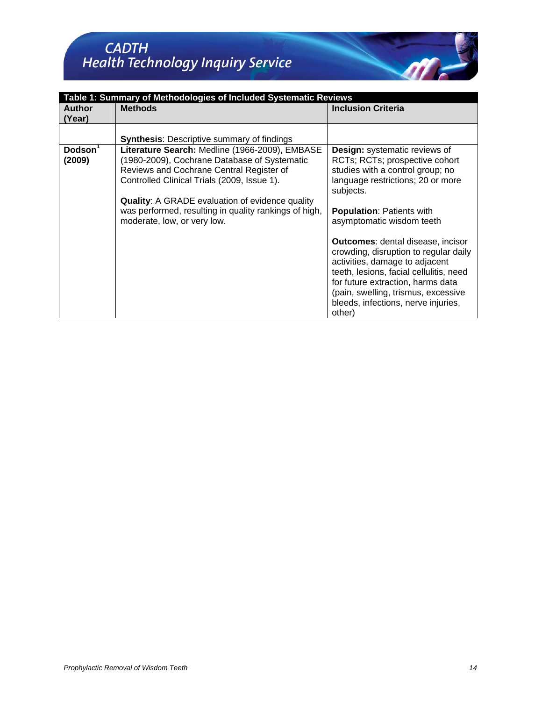| Table 1: Summary of Methodologies of Included Systematic Reviews |                                                                                                                                                                                                                                                                                                                                             |                                                                                                                                                                                                                                                                                                                                                                                                 |  |
|------------------------------------------------------------------|---------------------------------------------------------------------------------------------------------------------------------------------------------------------------------------------------------------------------------------------------------------------------------------------------------------------------------------------|-------------------------------------------------------------------------------------------------------------------------------------------------------------------------------------------------------------------------------------------------------------------------------------------------------------------------------------------------------------------------------------------------|--|
| <b>Author</b><br>(Year)                                          | <b>Methods</b>                                                                                                                                                                                                                                                                                                                              | <b>Inclusion Criteria</b>                                                                                                                                                                                                                                                                                                                                                                       |  |
|                                                                  | <b>Synthesis: Descriptive summary of findings</b>                                                                                                                                                                                                                                                                                           |                                                                                                                                                                                                                                                                                                                                                                                                 |  |
| Dodson <sup>1</sup><br>(2009)                                    | Literature Search: Medline (1966-2009), EMBASE<br>(1980-2009), Cochrane Database of Systematic<br>Reviews and Cochrane Central Register of<br>Controlled Clinical Trials (2009, Issue 1).<br><b>Quality:</b> A GRADE evaluation of evidence quality<br>was performed, resulting in quality rankings of high,<br>moderate, low, or very low. | <b>Design:</b> systematic reviews of<br>RCTs; RCTs; prospective cohort<br>studies with a control group; no<br>language restrictions; 20 or more<br>subjects.<br><b>Population: Patients with</b><br>asymptomatic wisdom teeth<br><b>Outcomes:</b> dental disease, incisor<br>crowding, disruption to regular daily<br>activities, damage to adjacent<br>teeth, lesions, facial cellulitis, need |  |
|                                                                  |                                                                                                                                                                                                                                                                                                                                             | for future extraction, harms data<br>(pain, swelling, trismus, excessive<br>bleeds, infections, nerve injuries,<br>other)                                                                                                                                                                                                                                                                       |  |

 $\sqrt{dt}$